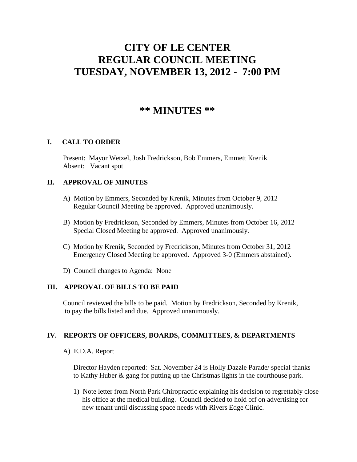# **CITY OF LE CENTER REGULAR COUNCIL MEETING TUESDAY, NOVEMBER 13, 2012 - 7:00 PM**

# **\*\* MINUTES \*\***

# **I. CALL TO ORDER**

Present: Mayor Wetzel, Josh Fredrickson, Bob Emmers, Emmett Krenik Absent: Vacant spot

#### **II. APPROVAL OF MINUTES**

- A) Motion by Emmers, Seconded by Krenik, Minutes from October 9, 2012 Regular Council Meeting be approved. Approved unanimously.
- B) Motion by Fredrickson, Seconded by Emmers, Minutes from October 16, 2012 Special Closed Meeting be approved. Approved unanimously.
- C) Motion by Krenik, Seconded by Fredrickson, Minutes from October 31, 2012 Emergency Closed Meeting be approved. Approved 3-0 (Emmers abstained).
- D) Council changes to Agenda: None

# **III. APPROVAL OF BILLS TO BE PAID**

Council reviewed the bills to be paid. Motion by Fredrickson, Seconded by Krenik, to pay the bills listed and due. Approved unanimously.

# **IV. REPORTS OF OFFICERS, BOARDS, COMMITTEES, & DEPARTMENTS**

#### A) E.D.A. Report

 Director Hayden reported: Sat. November 24 is Holly Dazzle Parade/ special thanks to Kathy Huber & gang for putting up the Christmas lights in the courthouse park.

 1) Note letter from North Park Chiropractic explaining his decision to regrettably close his office at the medical building. Council decided to hold off on advertising for new tenant until discussing space needs with Rivers Edge Clinic.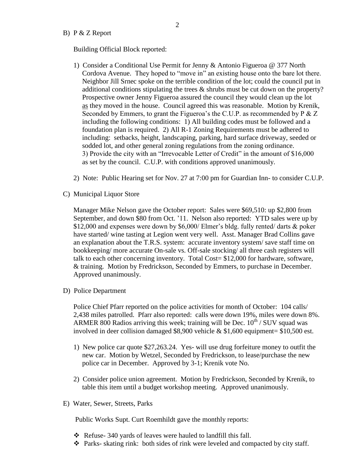#### B) P & Z Report

Building Official Block reported:

- 1) Consider a Conditional Use Permit for Jenny & Antonio Figueroa @ 377 North Cordova Avenue. They hoped to "move in" an existing house onto the bare lot there. Neighbor Jill Srnec spoke on the terrible condition of the lot; could the council put in additional conditions stipulating the trees & shrubs must be cut down on the property? Prospective owner Jenny Figueroa assured the council they would clean up the lot as they moved in the house. Council agreed this was reasonable. Motion by Krenik, Seconded by Emmers, to grant the Figueroa's the C.U.P. as recommended by P & Z including the following conditions: 1) All building codes must be followed and a foundation plan is required. 2) All R-1 Zoning Requirements must be adhered to including: setbacks, height, landscaping, parking, hard surface driveway, seeded or sodded lot, and other general zoning regulations from the zoning ordinance. 3) Provide the city with an "Irrevocable Letter of Credit" in the amount of \$16,000 as set by the council. C.U.P. with conditions approved unanimously.
- 2) Note: Public Hearing set for Nov. 27 at 7:00 pm for Guardian Inn- to consider C.U.P.
- C) Municipal Liquor Store

Manager Mike Nelson gave the October report: Sales were \$69,510: up \$2,800 from September, and down \$80 from Oct. '11. Nelson also reported: YTD sales were up by \$12,000 and expenses were down by \$6,000/ Elmer's bldg. fully rented/ darts & poker have started/ wine tasting at Legion went very well. Asst. Manager Brad Collins gave an explanation about the T.R.S. system: accurate inventory system/ save staff time on bookkeeping/ more accurate On-sale vs. Off-sale stocking/ all three cash registers will talk to each other concerning inventory. Total Cost= \$12,000 for hardware, software, & training. Motion by Fredrickson, Seconded by Emmers, to purchase in December. Approved unanimously.

D) Police Department

Police Chief Pfarr reported on the police activities for month of October: 104 calls/ 2,438 miles patrolled. Pfarr also reported: calls were down 19%, miles were down 8%. ARMER 800 Radios arriving this week; training will be Dec.  $10^{th}$  / SUV squad was involved in deer collision damaged \$8,900 vehicle & \$1,600 equipment= \$10,500 est.

- 1) New police car quote \$27,263.24. Yes- will use drug forfeiture money to outfit the new car. Motion by Wetzel, Seconded by Fredrickson, to lease/purchase the new police car in December. Approved by 3-1; Krenik vote No.
- 2) Consider police union agreement. Motion by Fredrickson, Seconded by Krenik, to table this item until a budget workshop meeting. Approved unanimously.
- E) Water, Sewer, Streets, Parks

Public Works Supt. Curt Roemhildt gave the monthly reports:

- $\triangle$  Refuse-340 yards of leaves were hauled to landfill this fall.
- $\bullet$  Parks- skating rink: both sides of rink were leveled and compacted by city staff.